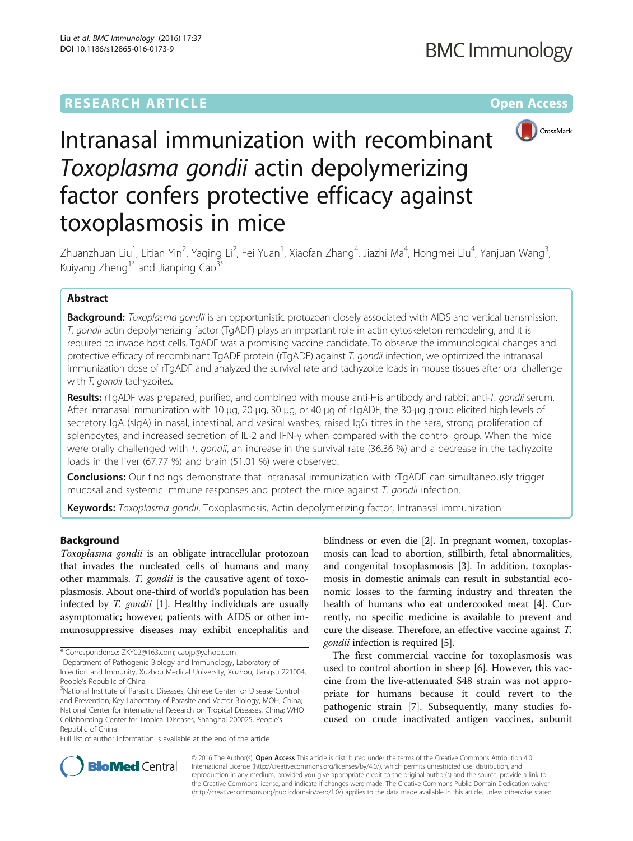## **RESEARCH ARTICLE Example 2014 12:30 The Community Community Community Community Community Community Community**



# Intranasal immunization with recombinant Toxoplasma gondii actin depolymerizing factor confers protective efficacy against toxoplasmosis in mice

Zhuanzhuan Liu<sup>1</sup>, Litian Yin<sup>2</sup>, Yaqing Li<sup>2</sup>, Fei Yuan<sup>1</sup>, Xiaofan Zhang<sup>4</sup>, Jiazhi Ma<sup>4</sup>, Hongmei Liu<sup>4</sup>, Yanjuan Wang<sup>3</sup> , Kuiyang  $Zhenq^1$ <sup>\*</sup> and Jianping Cao<sup>3\*</sup>

## Abstract

Background: Toxoplasma gondii is an opportunistic protozoan closely associated with AIDS and vertical transmission. T. gondii actin depolymerizing factor (TgADF) plays an important role in actin cytoskeleton remodeling, and it is required to invade host cells. TgADF was a promising vaccine candidate. To observe the immunological changes and protective efficacy of recombinant TgADF protein (rTgADF) against T. gondii infection, we optimized the intranasal immunization dose of rTgADF and analyzed the survival rate and tachyzoite loads in mouse tissues after oral challenge with T. gondii tachyzoites.

Results: rTgADF was prepared, purified, and combined with mouse anti-His antibody and rabbit anti-T. gondii serum. After intranasal immunization with 10 μg, 20 μg, 30 μg, or 40 μg of rTgADF, the 30-μg group elicited high levels of secretory IgA (sIgA) in nasal, intestinal, and vesical washes, raised IgG titres in the sera, strong proliferation of splenocytes, and increased secretion of IL-2 and IFN-γ when compared with the control group. When the mice were orally challenged with T. gondii, an increase in the survival rate (36.36 %) and a decrease in the tachyzoite loads in the liver (67.77 %) and brain (51.01 %) were observed.

**Conclusions:** Our findings demonstrate that intranasal immunization with rTgADF can simultaneously trigger mucosal and systemic immune responses and protect the mice against T. gondii infection.

Keywords: Toxoplasma gondii, Toxoplasmosis, Actin depolymerizing factor, Intranasal immunization

## Background

Toxoplasma gondii is an obligate intracellular protozoan that invades the nucleated cells of humans and many other mammals. T. gondii is the causative agent of toxoplasmosis. About one-third of world's population has been infected by *T. gondii* [[1\]](#page-6-0). Healthy individuals are usually asymptomatic; however, patients with AIDS or other immunosuppressive diseases may exhibit encephalitis and

Full list of author information is available at the end of the article

blindness or even die [\[2\]](#page-6-0). In pregnant women, toxoplasmosis can lead to abortion, stillbirth, fetal abnormalities, and congenital toxoplasmosis [\[3\]](#page-6-0). In addition, toxoplasmosis in domestic animals can result in substantial economic losses to the farming industry and threaten the health of humans who eat undercooked meat [\[4](#page-6-0)]. Currently, no specific medicine is available to prevent and cure the disease. Therefore, an effective vaccine against T. gondii infection is required [[5\]](#page-6-0).

The first commercial vaccine for toxoplasmosis was used to control abortion in sheep [\[6](#page-6-0)]. However, this vaccine from the live-attenuated S48 strain was not appropriate for humans because it could revert to the pathogenic strain [\[7\]](#page-6-0). Subsequently, many studies focused on crude inactivated antigen vaccines, subunit



© 2016 The Author(s). Open Access This article is distributed under the terms of the Creative Commons Attribution 4.0 International License [\(http://creativecommons.org/licenses/by/4.0/](http://creativecommons.org/licenses/by/4.0/)), which permits unrestricted use, distribution, and reproduction in any medium, provided you give appropriate credit to the original author(s) and the source, provide a link to the Creative Commons license, and indicate if changes were made. The Creative Commons Public Domain Dedication waiver [\(http://creativecommons.org/publicdomain/zero/1.0/](http://creativecommons.org/publicdomain/zero/1.0/)) applies to the data made available in this article, unless otherwise stated.

<sup>\*</sup> Correspondence: [ZKY02@163.com;](mailto:ZKY02@163.com) [caojp@yahoo.com](mailto:caojp@yahoo.com) <sup>1</sup>

<sup>&</sup>lt;sup>1</sup>Department of Pathogenic Biology and Immunology, Laboratory of Infection and Immunity, Xuzhou Medical University, Xuzhou, Jiangsu 221004, People's Republic of China

<sup>&</sup>lt;sup>3</sup>National Institute of Parasitic Diseases, Chinese Center for Disease Control and Prevention; Key Laboratory of Parasite and Vector Biology, MOH, China; National Center for International Research on Tropical Diseases, China; WHO Collaborating Center for Tropical Diseases, Shanghai 200025, People's Republic of China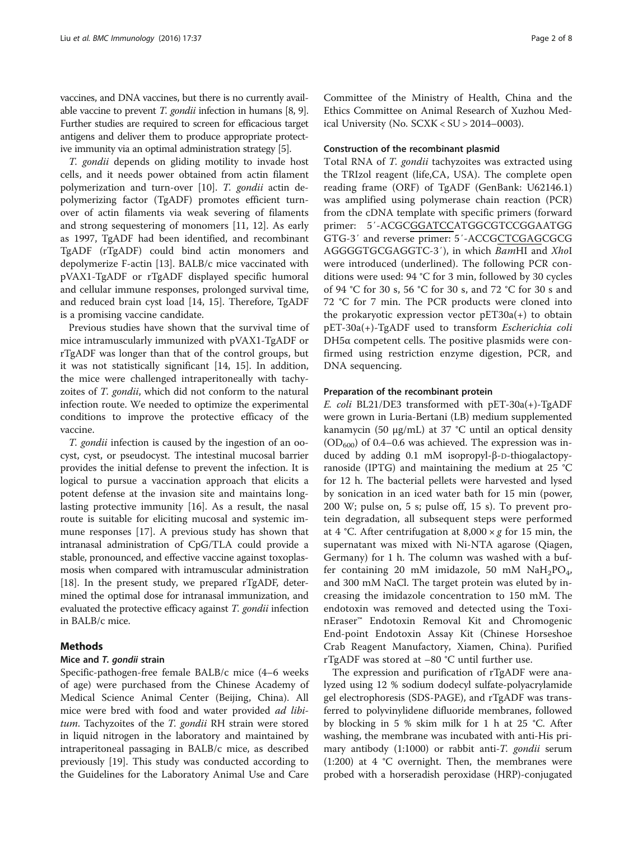vaccines, and DNA vaccines, but there is no currently available vaccine to prevent T. gondii infection in humans [\[8, 9](#page-6-0)]. Further studies are required to screen for efficacious target antigens and deliver them to produce appropriate protective immunity via an optimal administration strategy [[5](#page-6-0)].

T. gondii depends on gliding motility to invade host cells, and it needs power obtained from actin filament polymerization and turn-over [[10](#page-6-0)]. T. gondii actin depolymerizing factor (TgADF) promotes efficient turnover of actin filaments via weak severing of filaments and strong sequestering of monomers [[11, 12\]](#page-6-0). As early as 1997, TgADF had been identified, and recombinant TgADF (rTgADF) could bind actin monomers and depolymerize F-actin [[13](#page-6-0)]. BALB/c mice vaccinated with pVAX1-TgADF or rTgADF displayed specific humoral and cellular immune responses, prolonged survival time, and reduced brain cyst load [[14](#page-6-0), [15](#page-6-0)]. Therefore, TgADF is a promising vaccine candidate.

Previous studies have shown that the survival time of mice intramuscularly immunized with pVAX1-TgADF or rTgADF was longer than that of the control groups, but it was not statistically significant [[14, 15](#page-6-0)]. In addition, the mice were challenged intraperitoneally with tachyzoites of T. gondii, which did not conform to the natural infection route. We needed to optimize the experimental conditions to improve the protective efficacy of the vaccine.

T. gondii infection is caused by the ingestion of an oocyst, cyst, or pseudocyst. The intestinal mucosal barrier provides the initial defense to prevent the infection. It is logical to pursue a vaccination approach that elicits a potent defense at the invasion site and maintains longlasting protective immunity [[16\]](#page-6-0). As a result, the nasal route is suitable for eliciting mucosal and systemic immune responses [\[17\]](#page-6-0). A previous study has shown that intranasal administration of CpG/TLA could provide a stable, pronounced, and effective vaccine against toxoplasmosis when compared with intramuscular administration [[18](#page-6-0)]. In the present study, we prepared rTgADF, determined the optimal dose for intranasal immunization, and evaluated the protective efficacy against T. gondii infection in BALB/c mice.

## Methods

## Mice and T. gondii strain

Specific-pathogen-free female BALB/c mice (4–6 weeks of age) were purchased from the Chinese Academy of Medical Science Animal Center (Beijing, China). All mice were bred with food and water provided *ad libi*tum. Tachyzoites of the T. gondii RH strain were stored in liquid nitrogen in the laboratory and maintained by intraperitoneal passaging in BALB/c mice, as described previously [[19](#page-7-0)]. This study was conducted according to the Guidelines for the Laboratory Animal Use and Care

Committee of the Ministry of Health, China and the Ethics Committee on Animal Research of Xuzhou Medical University (No. SCXK < SU > 2014–0003).

## Construction of the recombinant plasmid

Total RNA of T. gondii tachyzoites was extracted using the TRIzol reagent (life,CA, USA). The complete open reading frame (ORF) of TgADF (GenBank: U62146.1) was amplified using polymerase chain reaction (PCR) from the cDNA template with specific primers (forward primer: 5′-ACGCGGATCCATGGCGTCCGGAATGG GTG-3′ and reverse primer: 5′-ACCGCTCGAGCGCG AGGGGTGCGAGGTC-3′), in which BamHI and XhoI were introduced (underlined). The following PCR conditions were used: 94 °C for 3 min, followed by 30 cycles of 94 °C for 30 s, 56 °C for 30 s, and 72 °C for 30 s and 72 °C for 7 min. The PCR products were cloned into the prokaryotic expression vector  $pET30a(+)$  to obtain pET-30a(+)-TgADF used to transform Escherichia coli DH5 $α$  competent cells. The positive plasmids were confirmed using restriction enzyme digestion, PCR, and DNA sequencing.

#### Preparation of the recombinant protein

E. coli BL21/DE3 transformed with pET-30a(+)-TgADF were grown in Luria-Bertani (LB) medium supplemented kanamycin (50 μg/mL) at 37 °C until an optical density  $(OD<sub>600</sub>)$  of 0.4–0.6 was achieved. The expression was induced by adding 0.1 mM isopropyl-β-D-thiogalactopyranoside (IPTG) and maintaining the medium at 25 °C for 12 h. The bacterial pellets were harvested and lysed by sonication in an iced water bath for 15 min (power, 200 W; pulse on, 5 s; pulse off, 15 s). To prevent protein degradation, all subsequent steps were performed at 4 °C. After centrifugation at  $8,000 \times g$  for 15 min, the supernatant was mixed with Ni-NTA agarose (Qiagen, Germany) for 1 h. The column was washed with a buffer containing 20 mM imidazole, 50 mM  $NaH<sub>2</sub>PO<sub>4</sub>$ , and 300 mM NaCl. The target protein was eluted by increasing the imidazole concentration to 150 mM. The endotoxin was removed and detected using the ToxinEraser™ Endotoxin Removal Kit and Chromogenic End-point Endotoxin Assay Kit (Chinese Horseshoe Crab Reagent Manufactory, Xiamen, China). Purified rTgADF was stored at –80 °C until further use.

The expression and purification of rTgADF were analyzed using 12 % sodium dodecyl sulfate-polyacrylamide gel electrophoresis (SDS-PAGE), and rTgADF was transferred to polyvinylidene difluoride membranes, followed by blocking in 5 % skim milk for 1 h at 25 °C. After washing, the membrane was incubated with anti-His primary antibody (1:1000) or rabbit anti-T. gondii serum (1:200) at 4 °C overnight. Then, the membranes were probed with a horseradish peroxidase (HRP)-conjugated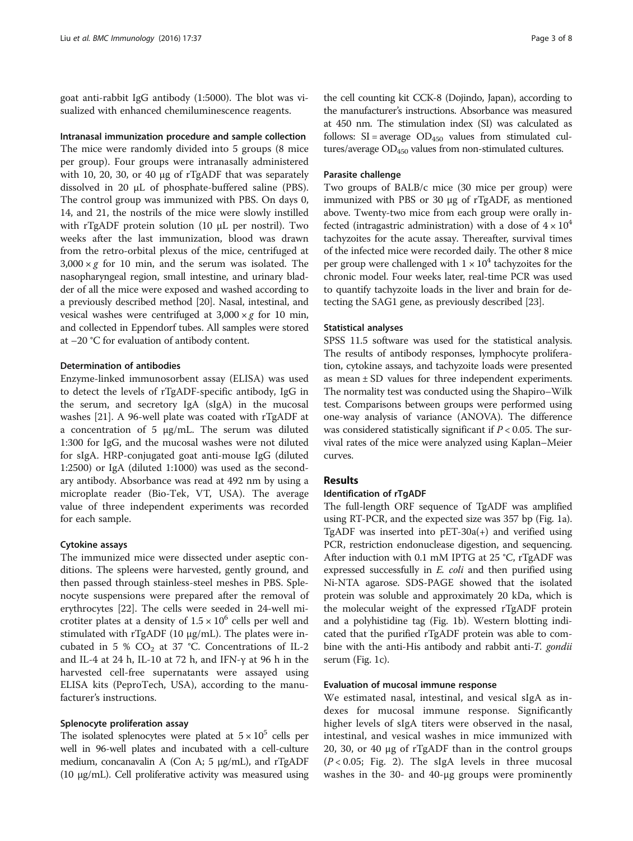goat anti-rabbit IgG antibody (1:5000). The blot was visualized with enhanced chemiluminescence reagents.

Intranasal immunization procedure and sample collection The mice were randomly divided into 5 groups (8 mice per group). Four groups were intranasally administered with 10, 20, 30, or 40 μg of rTgADF that was separately dissolved in 20 μL of phosphate-buffered saline (PBS). The control group was immunized with PBS. On days 0, 14, and 21, the nostrils of the mice were slowly instilled with rTgADF protein solution (10 μL per nostril). Two weeks after the last immunization, blood was drawn from the retro-orbital plexus of the mice, centrifuged at  $3,000 \times g$  for 10 min, and the serum was isolated. The nasopharyngeal region, small intestine, and urinary bladder of all the mice were exposed and washed according to a previously described method [[20](#page-7-0)]. Nasal, intestinal, and vesical washes were centrifuged at  $3,000 \times g$  for 10 min, and collected in Eppendorf tubes. All samples were stored

#### Determination of antibodies

at –20 °C for evaluation of antibody content.

Enzyme-linked immunosorbent assay (ELISA) was used to detect the levels of rTgADF-specific antibody, IgG in the serum, and secretory IgA (sIgA) in the mucosal washes [[21\]](#page-7-0). A 96-well plate was coated with rTgADF at a concentration of 5 μg/mL. The serum was diluted 1:300 for IgG, and the mucosal washes were not diluted for sIgA. HRP-conjugated goat anti-mouse IgG (diluted 1:2500) or IgA (diluted 1:1000) was used as the secondary antibody. Absorbance was read at 492 nm by using a microplate reader (Bio-Tek, VT, USA). The average value of three independent experiments was recorded for each sample.

## Cytokine assays

The immunized mice were dissected under aseptic conditions. The spleens were harvested, gently ground, and then passed through stainless-steel meshes in PBS. Splenocyte suspensions were prepared after the removal of erythrocytes [[22\]](#page-7-0). The cells were seeded in 24-well microtiter plates at a density of  $1.5\times10^6$  cells per well and stimulated with rTgADF (10 μg/mL). The plates were incubated in 5 %  $CO<sub>2</sub>$  at 37 °C. Concentrations of IL-2 and IL-4 at 24 h, IL-10 at 72 h, and IFN-γ at 96 h in the harvested cell-free supernatants were assayed using ELISA kits (PeproTech, USA), according to the manufacturer's instructions.

## Splenocyte proliferation assay

The isolated splenocytes were plated at  $5 \times 10^5$  cells per well in 96-well plates and incubated with a cell-culture medium, concanavalin A (Con A; 5 μg/mL), and rTgADF (10 μg/mL). Cell proliferative activity was measured using

the cell counting kit CCK-8 (Dojindo, Japan), according to the manufacturer's instructions. Absorbance was measured at 450 nm. The stimulation index (SI) was calculated as follows:  $SI = average OD<sub>450</sub>$  values from stimulated cultures/average  $OD<sub>450</sub>$  values from non-stimulated cultures.

#### Parasite challenge

Two groups of BALB/c mice (30 mice per group) were immunized with PBS or 30 μg of rTgADF, as mentioned above. Twenty-two mice from each group were orally infected (intragastric administration) with a dose of  $4 \times 10^4$ tachyzoites for the acute assay. Thereafter, survival times of the infected mice were recorded daily. The other 8 mice per group were challenged with  $1 \times 10^4$  tachyzoites for the chronic model. Four weeks later, real-time PCR was used to quantify tachyzoite loads in the liver and brain for detecting the SAG1 gene, as previously described [\[23](#page-7-0)].

## Statistical analyses

SPSS 11.5 software was used for the statistical analysis. The results of antibody responses, lymphocyte proliferation, cytokine assays, and tachyzoite loads were presented as mean ± SD values for three independent experiments. The normality test was conducted using the Shapiro–Wilk test. Comparisons between groups were performed using one-way analysis of variance (ANOVA). The difference was considered statistically significant if  $P < 0.05$ . The survival rates of the mice were analyzed using Kaplan–Meier curves.

## Results

## Identification of rTgADF

The full-length ORF sequence of TgADF was amplified using RT-PCR, and the expected size was 357 bp (Fig. [1a](#page-3-0)). TgADF was inserted into pET-30a(+) and verified using PCR, restriction endonuclease digestion, and sequencing. After induction with 0.1 mM IPTG at 25 °C, rTgADF was expressed successfully in E. coli and then purified using Ni-NTA agarose. SDS-PAGE showed that the isolated protein was soluble and approximately 20 kDa, which is the molecular weight of the expressed rTgADF protein and a polyhistidine tag (Fig. [1b](#page-3-0)). Western blotting indicated that the purified rTgADF protein was able to combine with the anti-His antibody and rabbit anti-T. gondii serum (Fig. [1c](#page-3-0)).

#### Evaluation of mucosal immune response

We estimated nasal, intestinal, and vesical sIgA as indexes for mucosal immune response. Significantly higher levels of sIgA titers were observed in the nasal, intestinal, and vesical washes in mice immunized with 20, 30, or 40 μg of rTgADF than in the control groups  $(P<0.05;$  Fig. [2](#page-3-0)). The sIgA levels in three mucosal washes in the 30- and 40-μg groups were prominently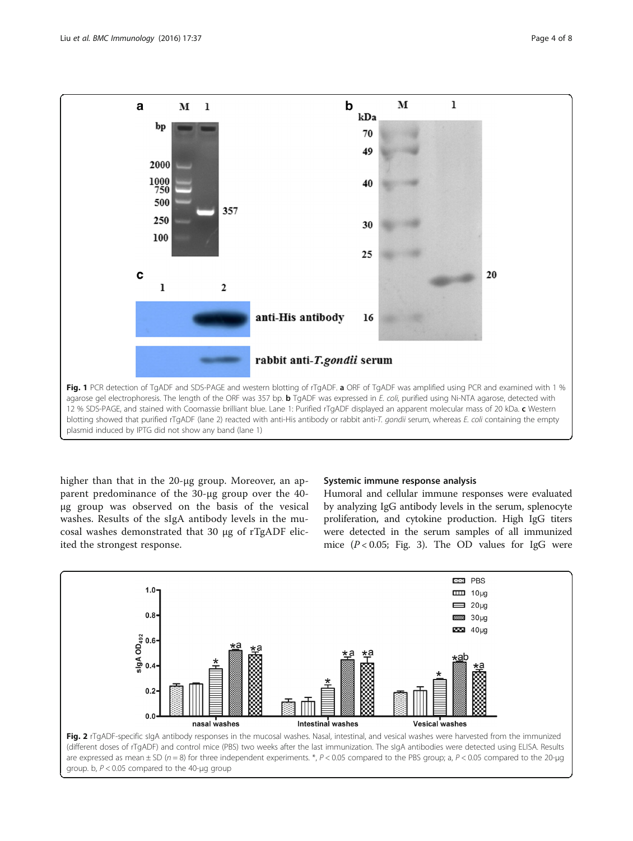<span id="page-3-0"></span>

higher than that in the 20-μg group. Moreover, an apparent predominance of the 30-μg group over the 40 μg group was observed on the basis of the vesical washes. Results of the sIgA antibody levels in the mucosal washes demonstrated that 30 μg of rTgADF elicited the strongest response.

## Systemic immune response analysis

Humoral and cellular immune responses were evaluated by analyzing IgG antibody levels in the serum, splenocyte proliferation, and cytokine production. High IgG titers were detected in the serum samples of all immunized mice  $(P < 0.05$ ; Fig. [3](#page-4-0)). The OD values for IgG were

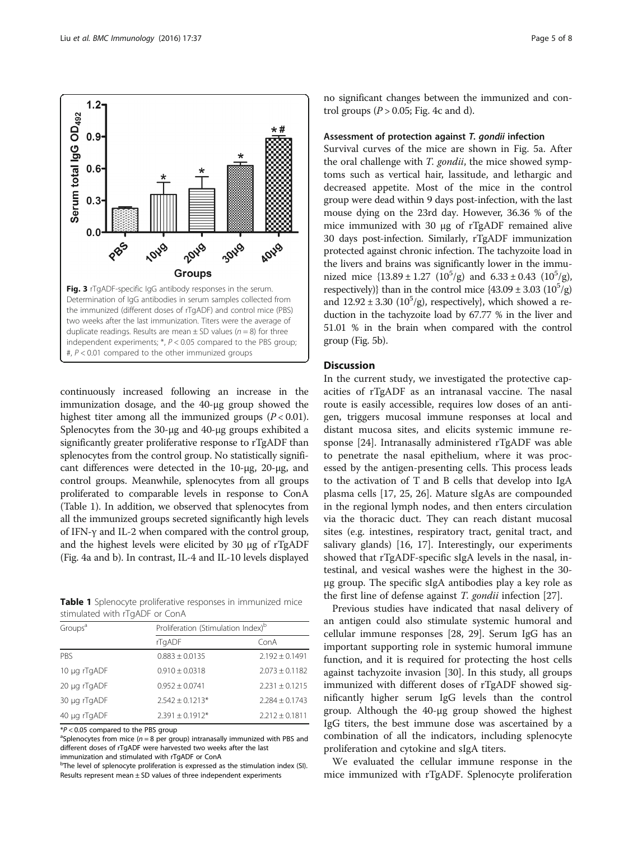continuously increased following an increase in the immunization dosage, and the 40-μg group showed the highest titer among all the immunized groups  $(P < 0.01)$ . Splenocytes from the 30-μg and 40-μg groups exhibited a significantly greater proliferative response to rTgADF than splenocytes from the control group. No statistically significant differences were detected in the 10-μg, 20-μg, and control groups. Meanwhile, splenocytes from all groups proliferated to comparable levels in response to ConA (Table 1). In addition, we observed that splenocytes from all the immunized groups secreted significantly high levels

no significant changes between the immunized and control groups ( $P > 0.05$ ; Fig. [4c and d](#page-5-0)).

## Assessment of protection against T. gondii infection

Survival curves of the mice are shown in Fig. [5a](#page-5-0). After the oral challenge with T. gondii, the mice showed symptoms such as vertical hair, lassitude, and lethargic and decreased appetite. Most of the mice in the control group were dead within 9 days post-infection, with the last mouse dying on the 23rd day. However, 36.36 % of the mice immunized with 30 μg of rTgADF remained alive 30 days post-infection. Similarly, rTgADF immunization protected against chronic infection. The tachyzoite load in the livers and brains was significantly lower in the immunized mice  $\{13.89 \pm 1.27 \ (10^5/g) \text{ and } 6.33 \pm 0.43 \ (10^5/g)$ , respectively)} than in the control mice  $\{43.09 \pm 3.03 \ (10^5/g)$ and  $12.92 \pm 3.30$  ( $10^5$ /g), respectively}, which showed a reduction in the tachyzoite load by 67.77 % in the liver and 51.01 % in the brain when compared with the control group (Fig. [5b\)](#page-5-0).

## Discussion

In the current study, we investigated the protective capacities of rTgADF as an intranasal vaccine. The nasal route is easily accessible, requires low doses of an antigen, triggers mucosal immune responses at local and distant mucosa sites, and elicits systemic immune response [\[24](#page-7-0)]. Intranasally administered rTgADF was able to penetrate the nasal epithelium, where it was processed by the antigen-presenting cells. This process leads to the activation of T and B cells that develop into IgA plasma cells [[17,](#page-6-0) [25, 26](#page-7-0)]. Mature sIgAs are compounded in the regional lymph nodes, and then enters circulation via the thoracic duct. They can reach distant mucosal sites (e.g. intestines, respiratory tract, genital tract, and salivary glands) [\[16](#page-6-0), [17\]](#page-6-0). Interestingly, our experiments showed that rTgADF-specific sIgA levels in the nasal, intestinal, and vesical washes were the highest in the 30 μg group. The specific sIgA antibodies play a key role as the first line of defense against T. gondii infection [\[27](#page-7-0)].

Previous studies have indicated that nasal delivery of an antigen could also stimulate systemic humoral and cellular immune responses [\[28](#page-7-0), [29\]](#page-7-0). Serum IgG has an important supporting role in systemic humoral immune function, and it is required for protecting the host cells against tachyzoite invasion [[30](#page-7-0)]. In this study, all groups immunized with different doses of rTgADF showed significantly higher serum IgG levels than the control group. Although the 40-μg group showed the highest IgG titers, the best immune dose was ascertained by a combination of all the indicators, including splenocyte proliferation and cytokine and sIgA titers.

We evaluated the cellular immune response in the mice immunized with rTgADF. Splenocyte proliferation

Table 1 Splenocyte proliferative responses in immunized mice stimulated with rTgADF or ConA

of IFN-γ and IL-2 when compared with the control group, and the highest levels were elicited by 30 μg of rTgADF (Fig. [4a](#page-5-0) and [b](#page-5-0)). In contrast, IL-4 and IL-10 levels displayed

| Groups <sup>a</sup> | Proliferation (Stimulation Index) <sup>b</sup> |                    |
|---------------------|------------------------------------------------|--------------------|
|                     | rTgADF                                         | ConA               |
| PBS                 | $0.883 \pm 0.0135$                             | $2.192 \pm 0.1491$ |
| 10 µg rTgADF        | $0.910 \pm 0.0318$                             | $2.073 \pm 0.1182$ |
| 20 µg rTgADF        | $0.952 \pm 0.0741$                             | $2.231 \pm 0.1215$ |
| 30 µg rTgADF        | $2.542 \pm 0.1213*$                            | $2.284 \pm 0.1743$ |
| 40 µg rTgADF        | $2.391 \pm 0.1912*$                            | $2.212 \pm 0.1811$ |

 $*P < 0.05$  compared to the PBS group

<sup>a</sup>Splenocytes from mice ( $n = 8$  per group) intranasally immunized with PBS and different doses of rTgADF were harvested two weeks after the last immunization and stimulated with rTgADF or ConA

<sup>b</sup>The level of splenocyte proliferation is expressed as the stimulation index (SI). Results represent mean  $\pm$  SD values of three independent experiments

<span id="page-4-0"></span>

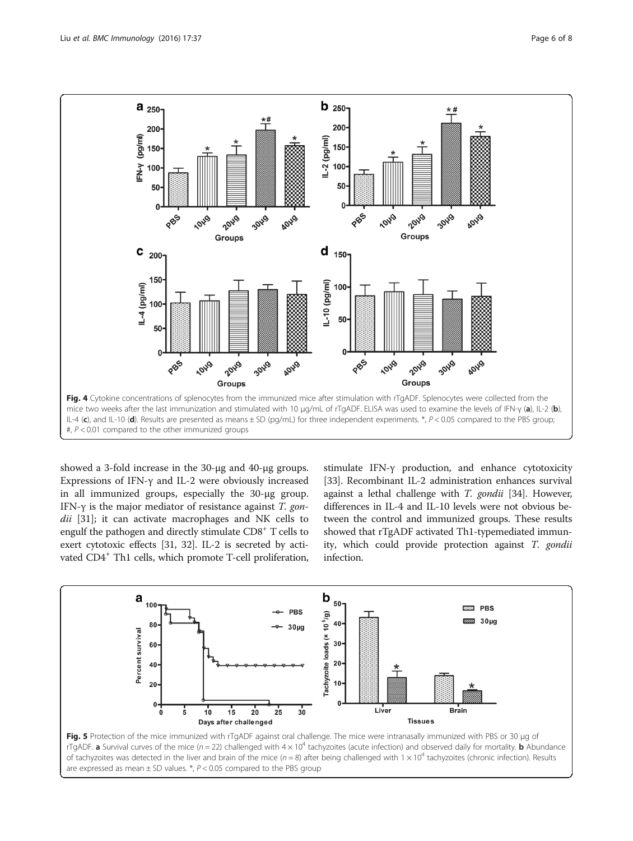<span id="page-5-0"></span>

showed a 3-fold increase in the 30-μg and 40-μg groups. Expressions of IFN-γ and IL-2 were obviously increased in all immunized groups, especially the 30-μg group. IFN- $\gamma$  is the major mediator of resistance against T. gon-dii [[31\]](#page-7-0); it can activate macrophages and NK cells to engulf the pathogen and directly stimulate CD8<sup>+</sup> T cells to exert cytotoxic effects [[31](#page-7-0), [32](#page-7-0)]. IL-2 is secreted by activated CD4<sup>+</sup> Th1 cells, which promote T-cell proliferation, stimulate IFN-γ production, and enhance cytotoxicity [[33](#page-7-0)]. Recombinant IL-2 administration enhances survival against a lethal challenge with T. gondii [[34](#page-7-0)]. However, differences in IL-4 and IL-10 levels were not obvious between the control and immunized groups. These results showed that rTgADF activated Th1-typemediated immunity, which could provide protection against T. gondii infection.

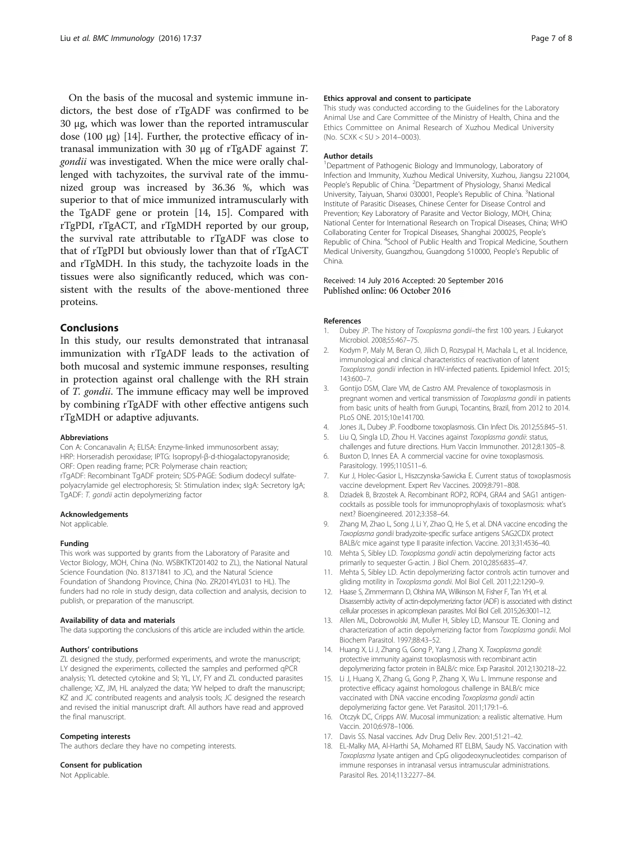<span id="page-6-0"></span>On the basis of the mucosal and systemic immune indictors, the best dose of rTgADF was confirmed to be 30 μg, which was lower than the reported intramuscular dose  $(100 \mu g)$  [14]. Further, the protective efficacy of intranasal immunization with 30 μg of rTgADF against T. gondii was investigated. When the mice were orally challenged with tachyzoites, the survival rate of the immunized group was increased by 36.36 %, which was superior to that of mice immunized intramuscularly with the TgADF gene or protein [14, 15]. Compared with rTgPDI, rTgACT, and rTgMDH reported by our group, the survival rate attributable to rTgADF was close to that of rTgPDI but obviously lower than that of rTgACT and rTgMDH. In this study, the tachyzoite loads in the tissues were also significantly reduced, which was consistent with the results of the above-mentioned three proteins.

## Conclusions

In this study, our results demonstrated that intranasal immunization with rTgADF leads to the activation of both mucosal and systemic immune responses, resulting in protection against oral challenge with the RH strain of T. gondii. The immune efficacy may well be improved by combining rTgADF with other effective antigens such rTgMDH or adaptive adjuvants.

#### Abbreviations

Con A: Concanavalin A; ELISA: Enzyme-linked immunosorbent assay; HRP: Horseradish peroxidase; IPTG: Isopropyl-β-d-thiogalactopyranoside; ORF: Open reading frame; PCR: Polymerase chain reaction; rTgADF: Recombinant TgADF protein; SDS-PAGE: Sodium dodecyl sulfatepolyacrylamide gel electrophoresis; SI: Stimulation index; sIgA: Secretory IgA; TgADF: T. gondii actin depolymerizing factor

#### Acknowledgements

Not applicable.

#### Funding

This work was supported by grants from the Laboratory of Parasite and Vector Biology, MOH, China (No. WSBKTKT201402 to ZL), the National Natural Science Foundation (No. 81371841 to JC), and the Natural Science Foundation of Shandong Province, China (No. ZR2014YL031 to HL). The funders had no role in study design, data collection and analysis, decision to publish, or preparation of the manuscript.

#### Availability of data and materials

The data supporting the conclusions of this article are included within the article.

#### Authors' contributions

ZL designed the study, performed experiments, and wrote the manuscript; LY designed the experiments, collected the samples and performed qPCR analysis; YL detected cytokine and SI; YL, LY, FY and ZL conducted parasites challenge; XZ, JM, HL analyzed the data; YW helped to draft the manuscript; KZ and JC contributed reagents and analysis tools; JC designed the research and revised the initial manuscript draft. All authors have read and approved the final manuscript.

#### Competing interests

The authors declare they have no competing interests.

## Consent for publication

Not Applicable.

#### Ethics approval and consent to participate

This study was conducted according to the Guidelines for the Laboratory Animal Use and Care Committee of the Ministry of Health, China and the Ethics Committee on Animal Research of Xuzhou Medical University (No. SCXK < SU > 2014–0003).

#### Author details

<sup>1</sup>Department of Pathogenic Biology and Immunology, Laboratory of Infection and Immunity, Xuzhou Medical University, Xuzhou, Jiangsu 221004, People's Republic of China. <sup>2</sup> Department of Physiology, Shanxi Medical University, Taiyuan, Shanxi 030001, People's Republic of China. <sup>3</sup>National Institute of Parasitic Diseases, Chinese Center for Disease Control and Prevention; Key Laboratory of Parasite and Vector Biology, MOH, China; National Center for International Research on Tropical Diseases, China; WHO Collaborating Center for Tropical Diseases, Shanghai 200025, People's Republic of China. <sup>4</sup>School of Public Health and Tropical Medicine, Southern Medical University, Guangzhou, Guangdong 510000, People's Republic of China.

## Received: 14 July 2016 Accepted: 20 September 2016 Published online: 06 October 2016

#### References

- 1. Dubey JP. The history of Toxoplasma gondii-the first 100 years. J Eukaryot Microbiol. 2008;55:467–75.
- 2. Kodym P, Maly M, Beran O, Jilich D, Rozsypal H, Machala L, et al. Incidence, immunological and clinical characteristics of reactivation of latent Toxoplasma gondii infection in HIV-infected patients. Epidemiol Infect. 2015; 143:600–7.
- 3. Gontijo DSM, Clare VM, de Castro AM. Prevalence of toxoplasmosis in pregnant women and vertical transmission of Toxoplasma gondii in patients from basic units of health from Gurupi, Tocantins, Brazil, from 2012 to 2014. PLoS ONE. 2015;10:e141700.
- 4. Jones JL, Dubey JP. Foodborne toxoplasmosis. Clin Infect Dis. 2012;55:845–51.
- 5. Liu Q, Singla LD, Zhou H. Vaccines against Toxoplasma gondii: status, challenges and future directions. Hum Vaccin Immunother. 2012;8:1305–8.
- 6. Buxton D, Innes EA. A commercial vaccine for ovine toxoplasmosis. Parasitology. 1995;110:S11–6.
- 7. Kur J, Holec-Gasior L, Hiszczynska-Sawicka E. Current status of toxoplasmosis vaccine development. Expert Rev Vaccines. 2009;8:791–808.
- 8. Dziadek B, Brzostek A. Recombinant ROP2, ROP4, GRA4 and SAG1 antigencocktails as possible tools for immunoprophylaxis of toxoplasmosis: what's next? Bioengineered. 2012;3:358–64.
- 9. Zhang M, Zhao L, Song J, Li Y, Zhao Q, He S, et al. DNA vaccine encoding the Toxoplasma gondii bradyzoite-specific surface antigens SAG2CDX protect BALB/c mice against type II parasite infection. Vaccine. 2013;31:4536–40.
- 10. Mehta S, Sibley LD. Toxoplasma gondii actin depolymerizing factor acts primarily to sequester G-actin. J Biol Chem. 2010;285:6835–47.
- 11. Mehta S, Sibley LD. Actin depolymerizing factor controls actin turnover and gliding motility in Toxoplasma gondii. Mol Biol Cell. 2011;22:1290–9.
- 12. Haase S, Zimmermann D, Olshina MA, Wilkinson M, Fisher F, Tan YH, et al. Disassembly activity of actin-depolymerizing factor (ADF) is associated with distinct cellular processes in apicomplexan parasites. Mol Biol Cell. 2015;26:3001–12.
- 13. Allen ML, Dobrowolski JM, Muller H, Sibley LD, Mansour TE. Cloning and characterization of actin depolymerizing factor from Toxoplasma gondii. Mol Biochem Parasitol. 1997;88:43–52.
- 14. Huang X, Li J, Zhang G, Gong P, Yang J, Zhang X. Toxoplasma gondii: protective immunity against toxoplasmosis with recombinant actin depolymerizing factor protein in BALB/c mice. Exp Parasitol. 2012;130:218–22.
- 15. Li J, Huang X, Zhang G, Gong P, Zhang X, Wu L. Immune response and protective efficacy against homologous challenge in BALB/c mice vaccinated with DNA vaccine encoding Toxoplasma gondii actin depolymerizing factor gene. Vet Parasitol. 2011;179:1–6.
- 16. Otczyk DC, Cripps AW. Mucosal immunization: a realistic alternative. Hum Vaccin. 2010;6:978–1006.
- 17. Davis SS. Nasal vaccines. Adv Drug Deliv Rev. 2001;51:21–42.
- 18. EL-Malky MA, Al-Harthi SA, Mohamed RT ELBM, Saudy NS. Vaccination with Toxoplasma lysate antigen and CpG oligodeoxynucleotides: comparison of immune responses in intranasal versus intramuscular administrations. Parasitol Res. 2014;113:2277–84.